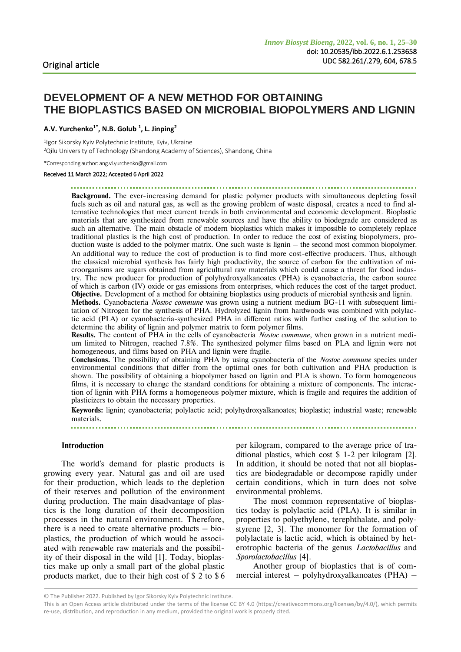# **DEVELOPMENT OF A NEW METHOD FOR OBTAINING THE BIOPLASTICS BASED ON MICROBIAL BIOPOLYMERS AND LIGNIN**

**A.V. Yurchenko1\* , N.B. Golub <sup>1</sup> , L. Jinping<sup>2</sup>**

1 Igor Sikorsky Kyiv Polytechnic Institute, Kyiv, Ukraine <sup>2</sup>Qilu University of Technology (Shandong Academy of Sciences), Shandong, China

\*Corresponding author: ang.vl.yurchenko@gmail.com

## Received 11 March 2022; Accepted 6 April 2022

**Background.** The ever-increasing demand for plastic polymer products with simultaneous depleting fossil fuels such as oil and natural gas, as well as the growing problem of waste disposal, creates a need to find alternative technologies that meet current trends in both environmental and economic development. Bioplastic materials that are synthesized from renewable sources and have the ability to biodegrade are considered as such an alternative. The main obstacle of modern bioplastics which makes it impossible to completely replace traditional plastics is the high cost of production. In order to reduce the cost of existing biopolymers, production waste is added to the polymer matrix. One such waste is lignin – the second most common biopolymer. An additional way to reduce the cost of production is to find more cost-effective producers. Thus, although the classical microbial synthesis has fairly high productivity, the source of carbon for the cultivation of microorganisms are sugars obtained from agricultural raw materials which could cause a threat for food industry. The new producer for production of polyhydroxyalkanoates (PHA) is cyanobacteria, the carbon source of which is carbon (IV) oxide or gas emissions from enterprises, which reduces the cost of the target product. **Objective.** Development of a method for obtaining bioplastics using products of microbial synthesis and lignin.

**Methods.** Cyanobacteria *Nostoc commune* was grown using a nutrient medium BG-11 with subsequent limitation of Nitrogen for the synthesis of PHA. Hydrolyzed lignin from hardwoods was combined with polylactic acid (PLA) or cyanobacteria-synthesized PHA in different ratios with further casting of the solution to determine the ability of lignin and polymer matrix to form polymer films.

**Results.** The content of PHA in the cells of cyanobacteria *Nostoc commune*, when grown in a nutrient medium limited to Nitrogen, reached 7.8%. The synthesized polymer films based on PLA and lignin were not homogeneous, and films based on PHA and lignin were fragile.

**Conclusions.** The possibility of obtaining PHA by using cyanobacteria of the *Nostoc commune* species under environmental conditions that differ from the optimal ones for both cultivation and PHA production is shown. The possibility of obtaining a biopolymer based on lignin and PLA is shown. To form homogeneous films, it is necessary to change the standard conditions for obtaining a mixture of components. The interaction of lignin with PHA forms a homogeneous polymer mixture, which is fragile and requires the addition of plasticizers to obtain the necessary properties.

**Keywords:** lignin; cyanobacteria; polylactic acid; polyhydroxyalkanoates; bioplastic; industrial waste; renewable materials.

### 

### **Introduction**

The world's demand for plastic products is growing every year. Natural gas and oil are used for their production, which leads to the depletion of their reserves and pollution of the environment during production. The main disadvantage of plastics is the long duration of their decomposition processes in the natural environment. Therefore, there is a need to create alternative products  $-$  bioplastics, the production of which would be associated with renewable raw materials and the possibility of their disposal in the wild [1]. Today, bioplastics make up only a small part of the global plastic products market, due to their high cost of \$ 2 to \$ 6

per kilogram, compared to the average price of traditional plastics, which cost \$ 1-2 per kilogram [2]. In addition, it should be noted that not all bioplastics are biodegradable or decompose rapidly under certain conditions, which in turn does not solve environmental problems.

The most common representative of bioplastics today is polylactic acid (PLA). It is similar in properties to polyethylene, terephthalate, and polystyrene [2, 3]. The monomer for the formation of polylactate is lactic acid, which is obtained by heterotrophic bacteria of the genus *Lactobacillus* and *Sporolactobacillus* [4].

Another group of bioplastics that is of commercial interest – polyhydroxyalkanoates (PHA) –

<sup>©</sup> The Publisher 2022. Published by Igor Sikorsky Kyiv Polytechnic Institute.

This is an Open Access article distributed under the terms of the license CC BY 4.0 (https://creativecommons.org/licenses/by/4.0/), which permits re-use, distribution, and reproduction in any medium, provided the original work is properly cited.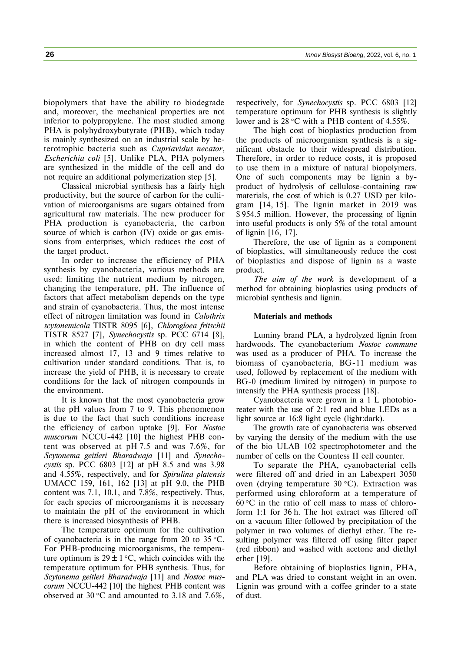biopolymers that have the ability to biodegrade and, moreover, the mechanical properties are not inferior to polypropylene. The most studied among PHA is polyhydroxybutyrate (PHB), which today is mainly synthesized on an industrial scale by heterotrophic bacteria such as *Cupriavidus necator*, *Escherichia coli* [5]. Unlike PLA, PHA polymers are synthesized in the middle of the cell and do not require an additional polymerization step [5].

Classical microbial synthesis has a fairly high productivity, but the source of carbon for the cultivation of microorganisms are sugars obtained from agricultural raw materials. The new producer for PHA production is cyanobacteria, the carbon source of which is carbon (IV) oxide or gas emissions from enterprises, which reduces the cost of the target product.

In order to increase the efficiency of PHA synthesis by cyanobacteria, various methods are used: limiting the nutrient medium by nitrogen, changing the temperature, pH. The influence of factors that affect metabolism depends on the type and strain of cyanobacteria. Thus, the most intense effect of nitrogen limitation was found in *Calothrix scytonemicola* TISTR 8095 [6], *Chlorogloea fritschii* TISTR 8527 [7], *Synechocystis* sp. PCC 6714 [8], in which the content of PHB on dry cell mass increased almost 17, 13 and 9 times relative to cultivation under standard conditions. That is, to increase the yield of PHB, it is necessary to create conditions for the lack of nitrogen compounds in the environment.

It is known that the most cyanobacteria grow at the pH values from 7 to 9. This phenomenon is due to the fact that such conditions increase the efficiency of carbon uptake [9]. For *Nostoc muscorum* NCCU-442 [10] the highest PHB content was observed at pH 7.5 and was 7.6%, for *Scytonema geitleri Bharadwaja* [11] and *Synechocystis* sp. PCC 6803 [12] at pH 8.5 and was 3.98 and 4.55%, respectively, and for *Spirulina platensis* UMACC 159, 161, 162 [13] at pH 9.0, the PHB content was 7.1, 10.1, and 7.8%, respectively. Thus, for each species of microorganisms it is necessary to maintain the pH of the environment in which there is increased biosynthesis of PHB.

The temperature optimum for the cultivation of cyanobacteria is in the range from 20 to 35  $\degree$ C. For PHB-producing microorganisms, the temperature optimum is  $29 \pm 1$  °C, which coincides with the temperature optimum for PHB synthesis. Thus, for *Scytonema geitleri Bharadwaja* [11] and *Nostoc muscorum* NCCU-442 [10] the highest PHB content was observed at 30 °C and amounted to 3.18 and 7.6%,

respectively, for *Synechocystis* sp. PCC 6803 [12] temperature optimum for PHB synthesis is slightly lower and is  $28 \text{ °C}$  with a PHB content of 4.55%.

The high cost of bioplastics production from the products of microorganism synthesis is a significant obstacle to their widespread distribution. Therefore, in order to reduce costs, it is proposed to use them in a mixture of natural biopolymers. One of such components may be lignin a byproduct of hydrolysis of cellulose-containing raw materials, the cost of which is 0.27 USD per kilogram [14, 15]. The lignin market in 2019 was \$ 954.5 million. However, the processing of lignin into useful products is only 5% of the total amount of lignin [16, 17].

Therefore, the use of lignin as a component of bioplastics, will simultaneously reduce the cost of bioplastics and dispose of lignin as a waste product.

*The aim of the work* is development of a method for obtaining bioplastics using products of microbial synthesis and lignin.

#### **Materials and methods**

Luminy brand PLA, a hydrolyzed lignin from hardwoods. The cyanobacterium *Nostoc commune* was used as a producer of PHA. To increase the biomass of cyanobacteria, BG-11 medium was used, followed by replacement of the medium with BG-0 (medium limited by nitrogen) in purpose to intensify the PHA synthesis process [18].

Cyanobacteria were grown in a 1 L photobioreater with the use of 2:1 red and blue LEDs as a light source at 16:8 light cycle (light:dark).

The growth rate of cyanobacteria was observed by varying the density of the medium with the use of the bio ULAB 102 spectrophotometer and the number of cells on the Countess II cell counter.

To separate the PHA, cyanobacterial cells were filtered off and dried in an Labexpert 3050 oven (drying temperature  $30^{\circ}$ C). Extraction was performed using chloroform at a temperature of  $60^{\circ}$ C in the ratio of cell mass to mass of chloroform 1:1 for 36 h. The hot extract was filtered off on a vacuum filter followed by precipitation of the polymer in two volumes of diethyl ether. The resulting polymer was filtered off using filter paper (red ribbon) and washed with acetone and diethyl ether [19].

Before obtaining of bioplastics lignin, PHA, and PLA was dried to constant weight in an oven. Lignin was ground with a coffee grinder to a state of dust.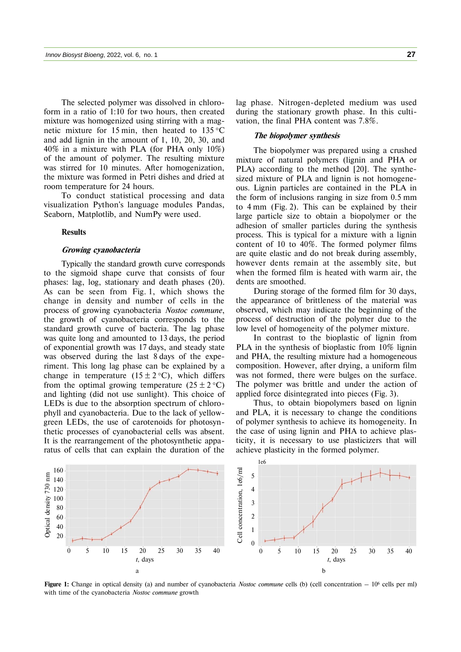The selected polymer was dissolved in chloroform in a ratio of 1:10 for two hours, then created mixture was homogenized using stirring with a magnetic mixture for 15 min, then heated to  $135^{\circ}$ C and add lignin in the amount of 1, 10, 20, 30, and 40% in a mixture with PLA (for PHA only 10%) of the amount of polymer. The resulting mixture was stirred for 10 minutes. After homogenization, the mixture was formed in Petri dishes and dried at room temperature for 24 hours.

To conduct statistical processing and data visualization Python's language modules Pandas, Seaborn, Matplotlib, and NumPy were used.

#### **Results**

## **Growing cyanobacteria**

Typically the standard growth curve corresponds to the sigmoid shape curve that consists of four phases: lag, log, stationary and death phases (20). As can be seen from Fig. 1, which shows the change in density and number of cells in the process of growing cyanobacteria *Nostoc commune*, the growth of cyanobacteria corresponds to the standard growth curve of bacteria. The lag phase was quite long and amounted to 13 days, the period of exponential growth was 17 days, and steady state was observed during the last 8 days of the experiment. This long lag phase can be explained by a change in temperature  $(15 \pm 2 \degree C)$ , which differs from the optimal growing temperature  $(25 \pm 2 \degree C)$ and lighting (did not use sunlight). This choice of LEDs is due to the absorption spectrum of chlorophyll and cyanobacteria. Due to the lack of yellowgreen LEDs, the use of carotenoids for photosynthetic processes of cyanobacterial cells was absent. It is the rearrangement of the photosynthetic apparatus of cells that can explain the duration of the

lag phase. Nitrogen-depleted medium was used during the stationary growth phase. In this cultivation, the final PHA content was 7.8%.

## **The biopolymer synthesis**

The biopolymer was prepared using a crushed mixture of natural polymers (lignin and PHA or PLA) according to the method [20]. The synthesized mixture of PLA and lignin is not homogeneous. Lignin particles are contained in the PLA in the form of inclusions ranging in size from 0.5 mm to 4 mm (Fig. 2). This can be explained by their large particle size to obtain a biopolymer or the adhesion of smaller particles during the synthesis process. This is typical for a mixture with a lignin content of 10 to 40%. The formed polymer films are quite elastic and do not break during assembly, however dents remain at the assembly site, but when the formed film is heated with warm air, the dents are smoothed.

During storage of the formed film for 30 days, the appearance of brittleness of the material was observed, which may indicate the beginning of the process of destruction of the polymer due to the low level of homogeneity of the polymer mixture.

In contrast to the bioplastic of lignin from PLA in the synthesis of bioplastic from 10% lignin and PHA, the resulting mixture had a homogeneous composition. However, after drying, a uniform film was not formed, there were bulges on the surface. The polymer was brittle and under the action of applied force disintegrated into pieces (Fig. 3).

Thus, to obtain biopolymers based on lignin and PLA, it is necessary to change the conditions of polymer synthesis to achieve its homogeneity. In the case of using lignin and PHA to achieve plasticity, it is necessary to use plasticizers that will achieve plasticity in the formed polymer.



**Figure 1:** Change in optical density (a) and number of cyanobacteria *Nostoc commune* cells (b) (cell concentration – 10<sup>6</sup> cells per ml) with time of the cyanobacteria *Nostoc commune* growth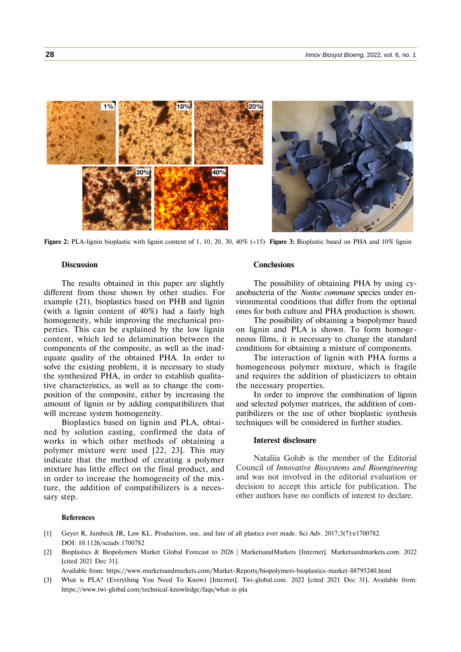

**Figure 2:** PLA-lignin bioplastic with lignin content of 1, 10, 20, 30, 40% (×15) **Figure 3:** Bioplastic based on PHA and 10% lignin

#### **Discussion**

The results obtained in this paper are slightly different from those shown by other studies. For example (21), bioplastics based on PHB and lignin (with a lignin content of 40%) had a fairly high homogeneity, while improving the mechanical properties. This can be explained by the low lignin content, which led to delamination between the components of the composite, as well as the inadequate quality of the obtained PHA. In order to solve the existing problem, it is necessary to study the synthesized PHA, in order to establish qualitative characteristics, as well as to change the composition of the composite, either by increasing the amount of lignin or by adding compatibilizers that will increase system homogeneity.

Bioplastics based on lignin and PLA, obtained by solution casting, confirmed the data of works in which other methods of obtaining a polymer mixture were used [22, 23]. This may indicate that the method of creating a polymer mixture has little effect on the final product, and in order to increase the homogeneity of the mixture, the addition of compatibilizers is a necessary step.

#### **Conclusions**

The possibility of obtaining PHA by using cyanobacteria of the *Nostoc commune* species under environmental conditions that differ from the optimal ones for both culture and PHA production is shown.

The possibility of obtaining a biopolymer based on lignin and PLA is shown. To form homogeneous films, it is necessary to change the standard conditions for obtaining a mixture of components.

The interaction of lignin with PHA forms a homogeneous polymer mixture, which is fragile and requires the addition of plasticizers to obtain the necessary properties.

In order to improve the combination of lignin and selected polymer matrices, the addition of compatibilizers or the use of other bioplastic synthesis techniques will be considered in further studies.

## **Interest disclosure**

Nataliia Golub is the member of the Editorial Council of *Innovative Biosystems and Bioengineering* and was not involved in the editorial evaluation or decision to accept this article for publication. The other authors have no conflicts of interest to declare.

#### **References**

- [1] Geyer R, Jambeck JR, Law KL. Production, use, and fate of all plastics ever made. Sci Adv. 2017;3(7):e1700782. DOI: 10.1126/sciadv.1700782
- [2] Bioplastics & Biopolymers Market Global Forecast to 2026 | MarketsandMarkets [Internet]. Marketsandmarkets.com. 2022 [cited 2021 Dec 31].

Available from: https://www.marketsandmarkets.com/Market-Reports/biopolymers-bioplastics-market-88795240.html

[3] What is PLA? (Everything You Need To Know) [Internet]. Twi-global.com. 2022 [cited 2021 Dec 31]. Available from: https://www.twi-global.com/technical-knowledge/faqs/what-is-pla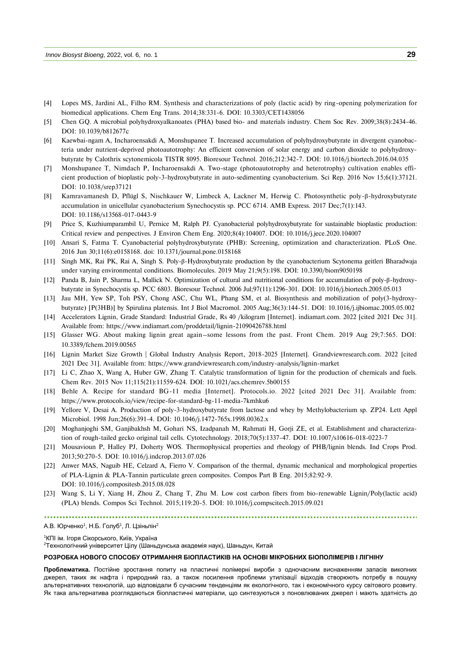- [4] Lopes MS, Jardini AL, Filho RM. Synthesis and characterizations of poly (lactic acid) by ring-opening polymerization for biomedical applications. Chem Eng Trans. 2014;38:331-6. DOI: 10.3303/CET1438056
- [5] Chen GQ. A microbial polyhydroxyalkanoates (PHA) based bio- and materials industry. Chem Soc Rev. 2009;38(8):2434-46. DOI: 10.1039/b812677c
- [6] Kaewbai-ngam A, Incharoensakdi A, Monshupanee T. Increased accumulation of polyhydroxybutyrate in divergent cyanobacteria under nutrient-deprived photoautotrophy: An efficient conversion of solar energy and carbon dioxide to polyhydroxybutyrate by Calothrix scytonemicola TISTR 8095. Bioresour Technol. 2016;212:342-7. DOI: 10.1016/j.biortech.2016.04.035
- [7] Monshupanee T, Nimdach P, Incharoensakdi A. Two-stage (photoautotrophy and heterotrophy) cultivation enables efficient production of bioplastic poly-3-hydroxybutyrate in auto-sedimenting cyanobacterium. Sci Rep. 2016 Nov 15;6(1):37121. DOI: 10.1038/srep37121
- [8] Kamravamanesh D, Pflügl S, Nischkauer W, Limbeck A, Lackner M, Herwig C. Photosynthetic poly-β-hydroxybutyrate accumulation in unicellular cyanobacterium Synechocystis sp. PCC 6714. AMB Express. 2017 Dec;7(1):143. DOI: 10.1186/s13568-017-0443-9
- [9] Price S, Kuzhiumparambil U, Pernice M, Ralph PJ. Cyanobacterial polyhydroxybutyrate for sustainable bioplastic production: Critical review and perspectives. J Environ Chem Eng. 2020;8(4):104007. DOI: 10.1016/j.jece.2020.104007
- [10] Ansari S, Fatma T. Cyanobacterial polyhydroxybutyrate (PHB): Screening, optimization and characterization. PLoS One. 2016 Jun 30;11(6):e0158168. doi: 10.1371/journal.pone.0158168
- [11] Singh MK, Rai PK, Rai A, Singh S. Poly-β-Hydroxybutyrate production by the cyanobacterium Scytonema geitleri Bharadwaja under varying environmental conditions. Biomolecules. 2019 May 21;9(5):198. DOI: 10.3390/biom9050198
- [12] Panda B, Jain P, Sharma L, Mallick N. Optimization of cultural and nutritional conditions for accumulation of poly-β-hydroxybutyrate in Synechocystis sp. PCC 6803. Bioresour Technol. 2006 Jul;97(11):1296-301. DOI: 10.1016/j.biortech.2005.05.013
- [13] Jau MH, Yew SP, Toh PSY, Chong ASC, Chu WL, Phang SM, et al. Biosynthesis and mobilization of poly(3-hydroxybutyrate) [P(3HB)] by Spirulina platensis. Int J Biol Macromol. 2005 Aug;36(3):144-51. DOI: 10.1016/j.ijbiomac.2005.05.002
- [14] Accelerators Lignin, Grade Standard: Industrial Grade, Rs 40 /kilogram [Internet]. indiamart.com. 2022 [cited 2021 Dec 31]. Available from: https://www.indiamart.com/proddetail/lignin-21090426788.html
- [15] Glasser WG. About making lignin great again–some lessons from the past. Front Chem. 2019 Aug 29;7:565. DOI: 10.3389/fchem.2019.00565
- [16] Lignin Market Size Growth | Global Industry Analysis Report, 2018-2025 [Internet]. Grandviewresearch.com. 2022 [cited 2021 Dec 31]. Available from: https://www.grandviewresearch.com/industry-analysis/lignin-market
- [17] Li C, Zhao X, Wang A, Huber GW, Zhang T. Catalytic transformation of lignin for the production of chemicals and fuels. Chem Rev. 2015 Nov 11;115(21):11559-624. DOI: 10.1021/acs.chemrev.5b00155
- [18] Behle A. Recipe for standard BG-11 media [Internet]. Protocols.io. 2022 [cited 2021 Dec 31]. Available from: https://www.protocols.io/view/recipe-for-standard-bg-11-media-7kmhku6
- [19] Yellore V, Desai A. Production of poly-3-hydroxybutyrate from lactose and whey by Methylobacterium sp. ZP24. Lett Appl Microbiol. 1998 Jun;26(6):391-4. DOI: 10.1046/j.1472-765x.1998.00362.x
- [20] Moghanjoghi SM, Ganjibakhsh M, Gohari NS, Izadpanah M, Rahmati H, Gorji ZE, et al. Establishment and characterization of rough-tailed gecko original tail cells. Cytotechnology. 2018;70(5):1337-47. DOI: 10.1007/s10616-018-0223-7
- [21] Mousavioun P, Halley PJ, Doherty WOS. Thermophysical properties and rheology of PHB/lignin blends. Ind Crops Prod. 2013;50:270-5. DOI: 10.1016/j.indcrop.2013.07.026
- [22] Anwer MAS, Naguib HE, Celzard A, Fierro V. Comparison of the thermal, dynamic mechanical and morphological properties of PLA-Lignin & PLA-Tannin particulate green composites. Compos Part B Eng. 2015;82:92-9. DOI: 10.1016/j.compositesb.2015.08.028
- [23] Wang S, Li Y, Xiang H, Zhou Z, Chang T, Zhu M. Low cost carbon fibers from bio-renewable Lignin/Poly(lactic acid) (PLA) blends. Compos Sci Technol. 2015;119:20-5. DOI: 10.1016/j.compscitech.2015.09.021

## А.В. Юрченко<sup>1</sup>, Н.Б. Голуб<sup>1</sup>, Л. Цзіньпін<sup>2</sup>

## <sup>1</sup>КПІ ім. Ігоря Сікорського, Київ, Україна

 $2$ Технологічний університет Цілу (Шаньдунська академія наук), Шаньдун, Китай

#### **РОЗРОБКА НОВОГО СПОСОБУ ОТРИМАННЯ БІОПЛАСТИКІВ НА ОСНОВІ МІКРОБНИХ БІОПОЛІМЕРІВ І ЛІГНІНУ**

**Проблематика.** Постійне зростання попиту на пластичні полімерні вироби з одночасним виснаженням запасів викопних джерел, таких як нафта і природний газ, а також посилення проблеми утилізації відходів створюють потребу в пошуку альтернативних технологій, що відповідали б сучасним тенденціям як екологічного, так і економічного курсу світового розвиту. Як така альтернатива розглядаються біопластичні матеріали, що синтезуються з поновлюваних джерел і мають здатність до